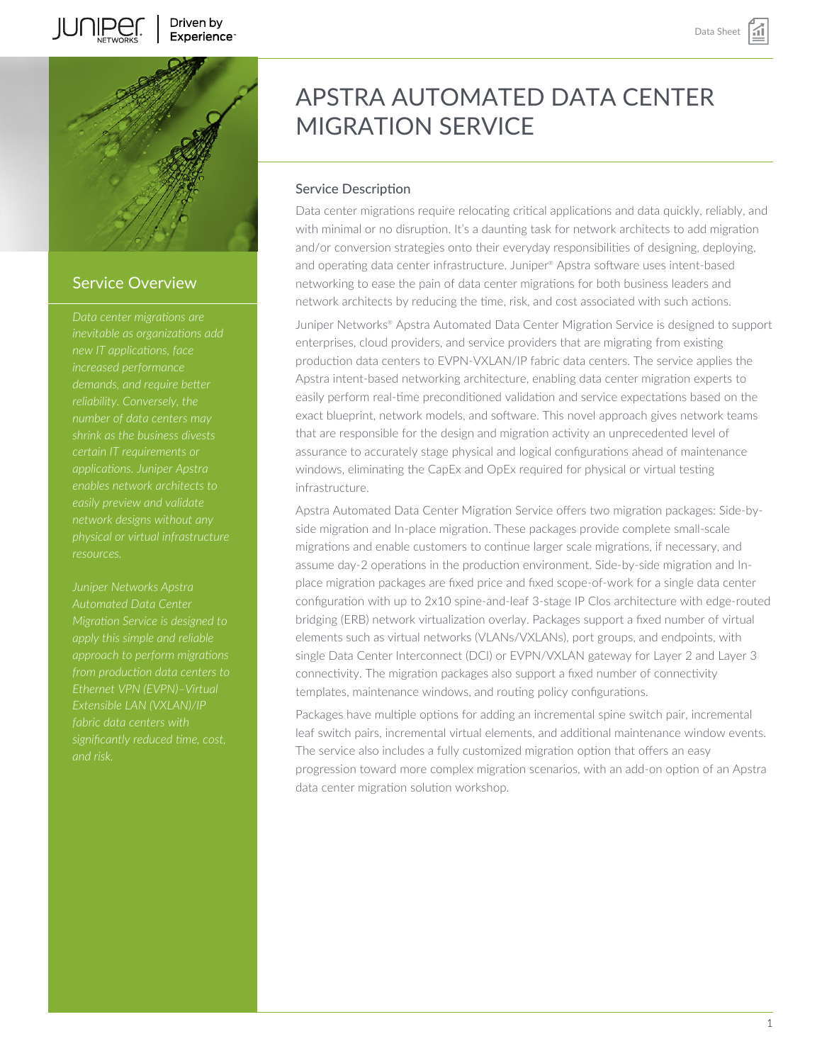



### Service Overview

*new IT applications, face shrink as the business divests certain IT requirements or applications. Juniper Apstra enables network architects to network designs without any resources.*

*Juniper Networks Apstra Automated Data Center approach to perform migrations Ethernet VPN (EVPN)–Virtual fabric data centers with significantly reduced time, cost,*

# APSTRA AUTOMATED DATA CENTER MIGRATION SERVICE

### Service Description

Data center migrations require relocating critical applications and data quickly, reliably, and with minimal or no disruption. It's a daunting task for network architects to add migration and/or conversion strategies onto their everyday responsibilities of designing, deploying, and operating data center infrastructure. Juniper® Apstra software uses intent-based networking to ease the pain of data center migrations for both business leaders and network architects by reducing the time, risk, and cost associated with such actions.

Juniper Networks® Apstra Automated Data Center Migration Service is designed to support enterprises, cloud providers, and service providers that are migrating from existing production data centers to EVPN-VXLAN/IP fabric data centers. The service applies the Apstra intent-based networking architecture, enabling data center migration experts to easily perform real-time preconditioned validation and service expectations based on the exact blueprint, network models, and software. This novel approach gives network teams that are responsible for the design and migration activity an unprecedented level of assurance to accurately stage physical and logical configurations ahead of maintenance windows, eliminating the CapEx and OpEx required for physical or virtual testing infrastructure.

Apstra Automated Data Center Migration Service offers two migration packages: Side-byside migration and In-place migration. These packages provide complete small-scale migrations and enable customers to continue larger scale migrations, if necessary, and assume day-2 operations in the production environment. Side-by-side migration and Inplace migration packages are fixed price and fixed scope-of-work for a single data center configuration with up to 2x10 spine-and-leaf 3-stage IP Clos architecture with edge-routed bridging (ERB) network virtualization overlay. Packages support a fixed number of virtual elements such as virtual networks (VLANs/VXLANs), port groups, and endpoints, with single Data Center Interconnect (DCI) or EVPN/VXLAN gateway for Layer 2 and Layer 3 connectivity. The migration packages also support a fixed number of connectivity templates, maintenance windows, and routing policy configurations.

Packages have multiple options for adding an incremental spine switch pair, incremental leaf switch pairs, incremental virtual elements, and additional maintenance window events. The service also includes a fully customized migration option that offers an easy progression toward more complex migration scenarios, with an add-on option of an Apstra data center migration solution workshop.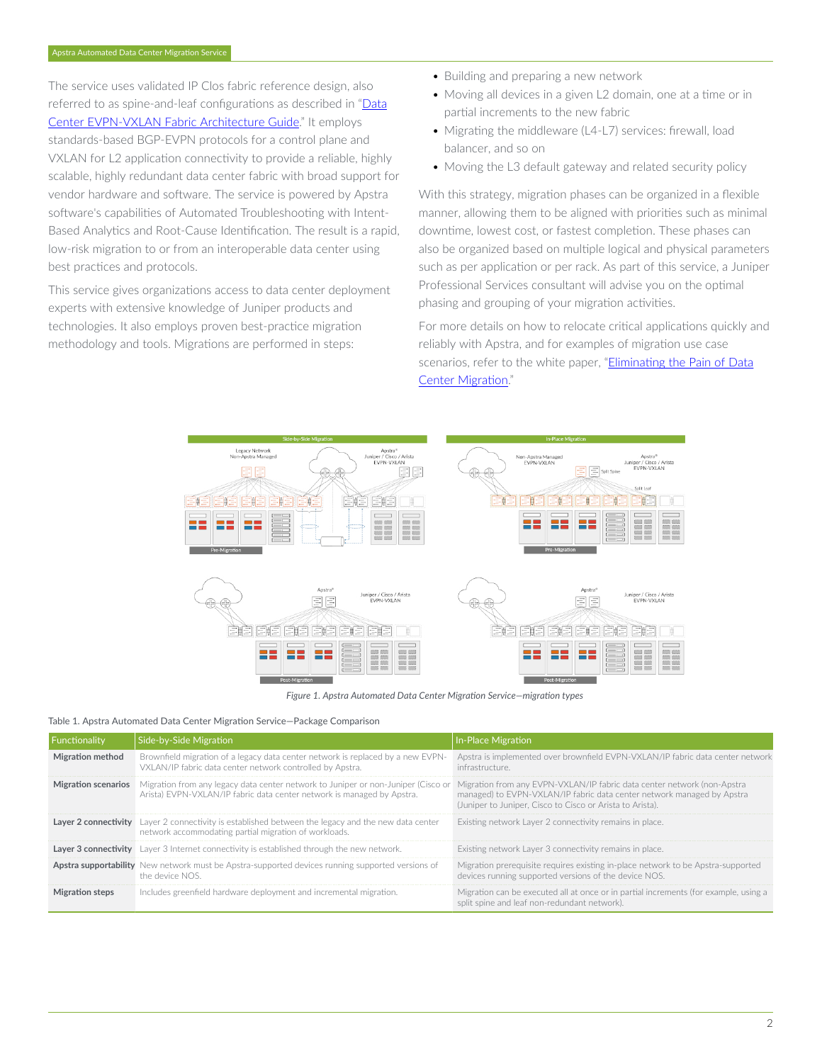The service uses validated IP Clos fabric reference design, also referred to as spine-and-leaf configurations as described in "[Data](https://www.juniper.net/documentation/en_US/release-independent/solutions/information-products/pathway-pages/sg-005-data-center-fabric.html) [Center EVPN-VXLAN Fabric Architecture Guide.](https://www.juniper.net/documentation/en_US/release-independent/solutions/information-products/pathway-pages/sg-005-data-center-fabric.html)" It employs standards-based BGP-EVPN protocols for a control plane and VXLAN for L2 application connectivity to provide a reliable, highly scalable, highly redundant data center fabric with broad support for vendor hardware and software. The service is powered by Apstra software's capabilities of Automated Troubleshooting with Intent-Based Analytics and Root-Cause Identification. The result is a rapid, low-risk migration to or from an interoperable data center using best practices and protocols.

This service gives organizations access to data center deployment experts with extensive knowledge of Juniper products and technologies. It also employs proven best-practice migration methodology and tools. Migrations are performed in steps:

- Building and preparing a new network
- Moving all devices in a given L2 domain, one at a time or in partial increments to the new fabric
- Migrating the middleware (L4-L7) services: firewall, load balancer, and so on
- Moving the L3 default gateway and related security policy

With this strategy, migration phases can be organized in a flexible manner, allowing them to be aligned with priorities such as minimal downtime, lowest cost, or fastest completion. These phases can also be organized based on multiple logical and physical parameters such as per application or per rack. As part of this service, a Juniper Professional Services consultant will advise you on the optimal phasing and grouping of your migration activities.

For more details on how to relocate critical applications quickly and reliably with Apstra, and for examples of migration use case scenarios, refer to the white paper, "*Eliminating the Pain of Data* [Center Migration.](https://www.juniper.net/content/dam/www/assets/white-papers/us/en/2021/eliminating-the-pain-of-data-center-migration.pdf)"



*Figure 1. Apstra Automated Data Center Migration Service—migration types*

#### Table 1. Apstra Automated Data Center Migration Service—Package Comparison

| Functionality           | Side-by-Side Migration                                                                                                                                              | In-Place Migration                                                                                                                                                                                             |
|-------------------------|---------------------------------------------------------------------------------------------------------------------------------------------------------------------|----------------------------------------------------------------------------------------------------------------------------------------------------------------------------------------------------------------|
| <b>Migration method</b> | Brownfield migration of a legacy data center network is replaced by a new EVPN-<br>VXLAN/IP fabric data center network controlled by Apstra.                        | Apstra is implemented over brownfield EVPN-VXLAN/IP fabric data center network<br>infrastructure.                                                                                                              |
| Migration scenarios     | Migration from any legacy data center network to Juniper or non-Juniper (Cisco or<br>Arista) EVPN-VXLAN/IP fabric data center network is managed by Apstra.         | Migration from any EVPN-VXLAN/IP fabric data center network (non-Apstra<br>managed) to EVPN-VXLAN/IP fabric data center network managed by Apstra<br>(Juniper to Juniper, Cisco to Cisco or Arista to Arista). |
|                         | <b>Layer 2 connectivity</b> Layer 2 connectivity is established between the legacy and the new data center<br>network accommodating partial migration of workloads. | Existing network Layer 2 connectivity remains in place.                                                                                                                                                        |
|                         | <b>Layer 3 connectivity</b> Layer 3 Internet connectivity is established through the new network.                                                                   | Existing network Laver 3 connectivity remains in place.                                                                                                                                                        |
|                         | <b>Apstra supportability</b> New network must be Apstra-supported devices running supported versions of<br>the device NOS.                                          | Migration prerequisite requires existing in-place network to be Apstra-supported<br>devices running supported versions of the device NOS.                                                                      |
| <b>Migration steps</b>  | Includes greenfield hardware deployment and incremental migration.                                                                                                  | Migration can be executed all at once or in partial increments (for example, using a<br>split spine and leaf non-redundant network).                                                                           |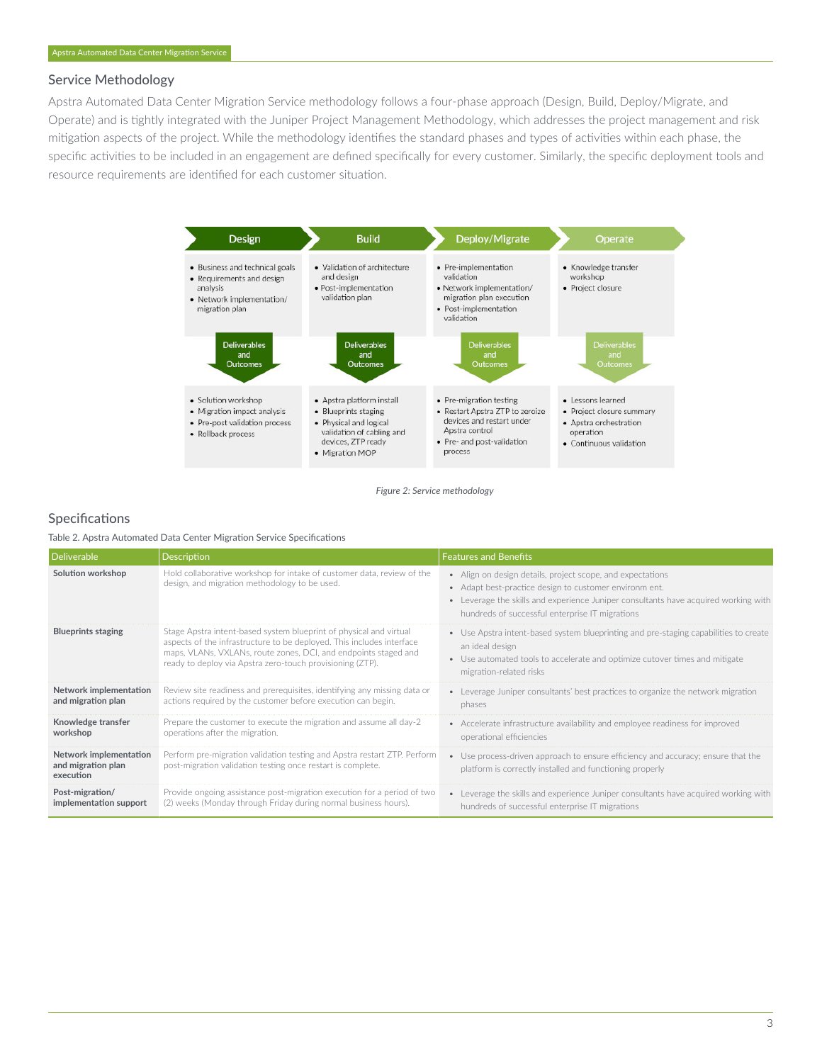#### Service Methodology

Apstra Automated Data Center Migration Service methodology follows a four-phase approach (Design, Build, Deploy/Migrate, and Operate) and is tightly integrated with the Juniper Project Management Methodology, which addresses the project management and risk mitigation aspects of the project. While the methodology identifies the standard phases and types of activities within each phase, the specific activities to be included in an engagement are defined specifically for every customer. Similarly, the specific deployment tools and resource requirements are identified for each customer situation.



*Figure 2: Service methodology*

#### Specifications

Table 2. Apstra Automated Data Center Migration Service Specifications

| Deliverable                                               | Description                                                                                                                                                                                                                                                                 | <b>Features and Benefits</b>                                                                                                                                                                                                                                   |
|-----------------------------------------------------------|-----------------------------------------------------------------------------------------------------------------------------------------------------------------------------------------------------------------------------------------------------------------------------|----------------------------------------------------------------------------------------------------------------------------------------------------------------------------------------------------------------------------------------------------------------|
| Solution workshop                                         | Hold collaborative workshop for intake of customer data, review of the<br>design, and migration methodology to be used.                                                                                                                                                     | • Align on design details, project scope, and expectations<br>• Adapt best-practice design to customer environm ent.<br>• Leverage the skills and experience Juniper consultants have acquired working with<br>hundreds of successful enterprise IT migrations |
| <b>Blueprints staging</b>                                 | Stage Apstra intent-based system blueprint of physical and virtual<br>aspects of the infrastructure to be deployed. This includes interface<br>maps, VLANs, VXLANs, route zones, DCI, and endpoints staged and<br>ready to deploy via Apstra zero-touch provisioning (ZTP). | • Use Apstra intent-based system blueprinting and pre-staging capabilities to create<br>an ideal design<br>• Use automated tools to accelerate and optimize cutover times and mitigate<br>migration-related risks                                              |
| Network implementation<br>and migration plan              | Review site readiness and prerequisites, identifying any missing data or<br>actions required by the customer before execution can begin.                                                                                                                                    | • Leverage Juniper consultants' best practices to organize the network migration<br>phases                                                                                                                                                                     |
| Knowledge transfer<br>workshop                            | Prepare the customer to execute the migration and assume all day-2<br>operations after the migration.                                                                                                                                                                       | • Accelerate infrastructure availability and employee readiness for improved<br>operational efficiencies                                                                                                                                                       |
| Network implementation<br>and migration plan<br>execution | Perform pre-migration validation testing and Apstra restart ZTP. Perform<br>post-migration validation testing once restart is complete.                                                                                                                                     | • Use process-driven approach to ensure efficiency and accuracy; ensure that the<br>platform is correctly installed and functioning properly                                                                                                                   |
| Post-migration/<br>implementation support                 | Provide ongoing assistance post-migration execution for a period of two<br>(2) weeks (Monday through Friday during normal business hours).                                                                                                                                  | • Leverage the skills and experience Juniper consultants have acquired working with<br>hundreds of successful enterprise IT migrations                                                                                                                         |